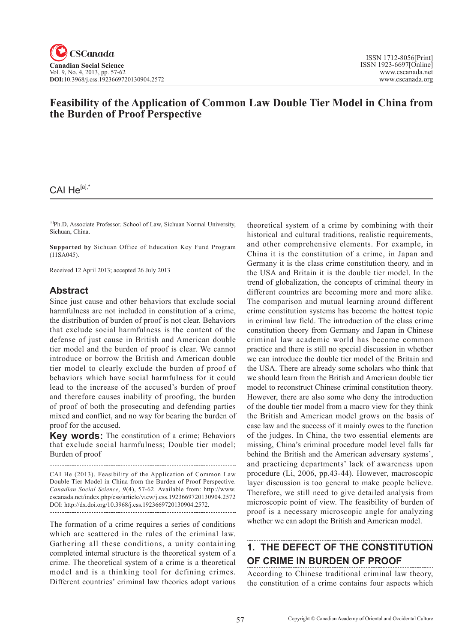### **Feasibility of the Application of Common Law Double Tier Model in China from the Burden of Proof Perspective**

### CAI He<sup>[a],\*</sup>

[a]Ph.D, Associate Professor. School of Law, Sichuan Normal University, Sichuan, China.

**Supported by** Sichuan Office of Education Key Fund Program (11SA045).

Received 12 April 2013; accepted 26 July 2013

### **Abstract**

Since just cause and other behaviors that exclude social harmfulness are not included in constitution of a crime, the distribution of burden of proof is not clear. Behaviors that exclude social harmfulness is the content of the defense of just cause in British and American double tier model and the burden of proof is clear. We cannot introduce or borrow the British and American double tier model to clearly exclude the burden of proof of behaviors which have social harmfulness for it could lead to the increase of the accused's burden of proof and therefore causes inability of proofing, the burden of proof of both the prosecuting and defending parties mixed and conflict, and no way for bearing the burden of proof for the accused.

**Key words:** The constitution of a crime; Behaviors that exclude social harmfulness; Double tier model; Burden of proof

CAI He (2013). Feasibility of the Application of Common Law Double Tier Model in China from the Burden of Proof Perspective. *Canadian Social Science*, <sup>9</sup>(4), 57-62. Available from: http://www. cscanada.net/index.php/css/article/view/j.css.1923669720130904.2572 DOI: http://dx.doi.org/10.3968/j.css.1923669720130904.2572. 

The formation of a crime requires a series of conditions which are scattered in the rules of the criminal law. Gathering all these conditions, a unity containing completed internal structure is the theoretical system of a crime. The theoretical system of a crime is a theoretical model and is a thinking tool for defining crimes. Different countries' criminal law theories adopt various theoretical system of a crime by combining with their historical and cultural traditions, realistic requirements, and other comprehensive elements. For example, in China it is the constitution of a crime, in Japan and Germany it is the class crime constitution theory, and in the USA and Britain it is the double tier model. In the trend of globalization, the concepts of criminal theory in different countries are becoming more and more alike. The comparison and mutual learning around different crime constitution systems has become the hottest topic in criminal law field. The introduction of the class crime constitution theory from Germany and Japan in Chinese criminal law academic world has become common practice and there is still no special discussion in whether we can introduce the double tier model of the Britain and the USA. There are already some scholars who think that we should learn from the British and American double tier model to reconstruct Chinese criminal constitution theory. However, there are also some who deny the introduction of the double tier model from a macro view for they think the British and American model grows on the basis of case law and the success of it mainly owes to the function of the judges. In China, the two essential elements are missing, China's criminal procedure model level falls far behind the British and the American adversary systems', and practicing departments' lack of awareness upon procedure (Li, 2006, pp.43-44). However, macroscopic layer discussion is too general to make people believe. Therefore, we still need to give detailed analysis from microscopic point of view. The feasibility of burden of proof is a necessary microscopic angle for analyzing whether we can adopt the British and American model.

## **1. THE DEFECT OF THE CONSTITUTION OF CRIME IN BURDEN OF PROOF**

According to Chinese traditional criminal law theory, the constitution of a crime contains four aspects which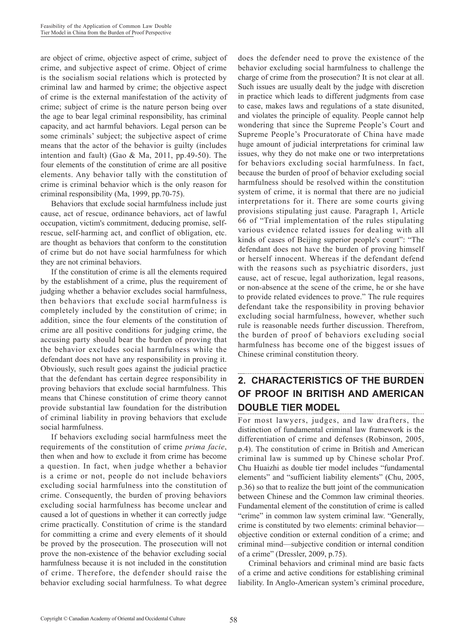are object of crime, objective aspect of crime, subject of crime, and subjective aspect of crime. Object of crime is the socialism social relations which is protected by criminal law and harmed by crime; the objective aspect of crime is the external manifestation of the activity of crime; subject of crime is the nature person being over the age to bear legal criminal responsibility, has criminal capacity, and act harmful behaviors. Legal person can be some criminals' subject; the subjective aspect of crime means that the actor of the behavior is guilty (includes intention and fault) (Gao & Ma, 2011, pp.49-50). The four elements of the constitution of crime are all positive elements. Any behavior tally with the constitution of crime is criminal behavior which is the only reason for criminal responsibility (Ma, 1999, pp.70-75).

Behaviors that exclude social harmfulness include just cause, act of rescue, ordinance behaviors, act of lawful occupation, victim's commitment, deducing promise, selfrescue, self-harming act, and conflict of obligation, etc. are thought as behaviors that conform to the constitution of crime but do not have social harmfulness for which they are not criminal behaviors.

If the constitution of crime is all the elements required by the establishment of a crime, plus the requirement of judging whether a behavior excludes social harmfulness, then behaviors that exclude social harmfulness is completely included by the constitution of crime; in addition, since the four elements of the constitution of crime are all positive conditions for judging crime, the accusing party should bear the burden of proving that the behavior excludes social harmfulness while the defendant does not have any responsibility in proving it. Obviously, such result goes against the judicial practice that the defendant has certain degree responsibility in proving behaviors that exclude social harmfulness. This means that Chinese constitution of crime theory cannot provide substantial law foundation for the distribution of criminal liability in proving behaviors that exclude social harmfulness.

If behaviors excluding social harmfulness meet the requirements of the constitution of crime *prima facie*, then when and how to exclude it from crime has become a question. In fact, when judge whether a behavior is a crime or not, people do not include behaviors excluding social harmfulness into the constitution of crime. Consequently, the burden of proving behaviors excluding social harmfulness has become unclear and caused a lot of questions in whether it can correctly judge crime practically. Constitution of crime is the standard for committing a crime and every elements of it should be proved by the prosecution. The prosecution will not prove the non-existence of the behavior excluding social harmfulness because it is not included in the constitution of crime. Therefore, the defender should raise the behavior excluding social harmfulness. To what degree

does the defender need to prove the existence of the behavior excluding social harmfulness to challenge the charge of crime from the prosecution? It is not clear at all. Such issues are usually dealt by the judge with discretion in practice which leads to different judgments from case to case, makes laws and regulations of a state disunited, and violates the principle of equality. People cannot help wondering that since the Supreme People's Court and Supreme People's Procuratorate of China have made huge amount of judicial interpretations for criminal law issues, why they do not make one or two interpretations for behaviors excluding social harmfulness. In fact, because the burden of proof of behavior excluding social harmfulness should be resolved within the constitution system of crime, it is normal that there are no judicial interpretations for it. There are some courts giving provisions stipulating just cause. Paragraph 1, Article 66 of "Trial implementation of the rules stipulating various evidence related issues for dealing with all kinds of cases of Beijing superior people's court": "The defendant does not have the burden of proving himself or herself innocent. Whereas if the defendant defend with the reasons such as psychiatric disorders, just cause, act of rescue, legal authorization, legal reasons, or non-absence at the scene of the crime, he or she have to provide related evidences to prove." The rule requires defendant take the responsibility in proving behavior excluding social harmfulness, however, whether such rule is reasonable needs further discussion. Therefrom, the burden of proof of behaviors excluding social harmfulness has become one of the biggest issues of Chinese criminal constitution theory.

### **2. CHARACTERISTICS OF THE BURDEN OF PROOF IN BRITISH AND AMERICAN DOUBLE TIER MODEL**

For most lawyers, judges, and law drafters, the distinction of fundamental criminal law framework is the differentiation of crime and defenses (Robinson, 2005, p.4). The constitution of crime in British and American criminal law is summed up by Chinese scholar Prof. Chu Huaizhi as double tier model includes "fundamental elements" and "sufficient liability elements" (Chu, 2005, p.36) so that to realize the butt joint of the communication between Chinese and the Common law criminal theories. Fundamental element of the constitution of crime is called "crime" in common law system criminal law. "Generally, crime is constituted by two elements: criminal behavior objective condition or external condition of a crime; and criminal mind—subjective condition or internal condition of a crime" (Dressler, 2009, p.75).

Criminal behaviors and criminal mind are basic facts of a crime and active conditions for establishing criminal liability. In Anglo-American system's criminal procedure,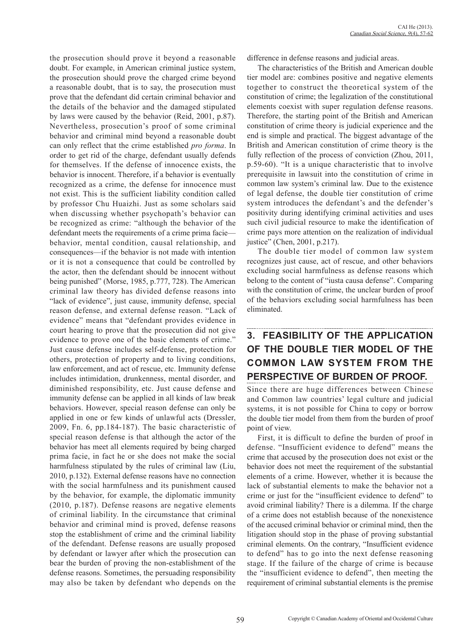the prosecution should prove it beyond a reasonable doubt. For example, in American criminal justice system, the prosecution should prove the charged crime beyond a reasonable doubt, that is to say, the prosecution must prove that the defendant did certain criminal behavior and the details of the behavior and the damaged stipulated by laws were caused by the behavior (Reid, 2001, p.87). Nevertheless, prosecution's proof of some criminal behavior and criminal mind beyond a reasonable doubt can only reflect that the crime established *pro forma*. In order to get rid of the charge, defendant usually defends for themselves. If the defense of innocence exists, the behavior is innocent. Therefore, if a behavior is eventually recognized as a crime, the defense for innocence must not exist. This is the sufficient liability condition called by professor Chu Huaizhi. Just as some scholars said when discussing whether psychopath's behavior can be recognized as crime: "although the behavior of the defendant meets the requirements of a crime prima facie behavior, mental condition, causal relationship, and consequences—if the behavior is not made with intention or it is not a consequence that could be controlled by the actor, then the defendant should be innocent without being punished" (Morse, 1985, p.777, 728). The American criminal law theory has divided defense reasons into "lack of evidence", just cause, immunity defense, special reason defense, and external defense reason. "Lack of evidence" means that "defendant provides evidence in court hearing to prove that the prosecution did not give evidence to prove one of the basic elements of crime." Just cause defense includes self-defense, protection for others, protection of property and to living conditions, law enforcement, and act of rescue, etc. Immunity defense includes intimidation, drunkenness, mental disorder, and diminished responsibility, etc. Just cause defense and immunity defense can be applied in all kinds of law break behaviors. However, special reason defense can only be applied in one or few kinds of unlawful acts (Dressler, 2009, Fn. 6, pp.184-187). The basic characteristic of special reason defense is that although the actor of the behavior has meet all elements required by being charged prima facie, in fact he or she does not make the social harmfulness stipulated by the rules of criminal law (Liu, 2010, p.132). External defense reasons have no connection with the social harmfulness and its punishment caused by the behavior, for example, the diplomatic immunity (2010, p.187). Defense reasons are negative elements of criminal liability. In the circumstance that criminal behavior and criminal mind is proved, defense reasons stop the establishment of crime and the criminal liability of the defendant. Defense reasons are usually proposed by defendant or lawyer after which the prosecution can bear the burden of proving the non-establishment of the defense reasons. Sometimes, the persuading responsibility may also be taken by defendant who depends on the difference in defense reasons and judicial areas.

The characteristics of the British and American double tier model are: combines positive and negative elements together to construct the theoretical system of the constitution of crime; the legalization of the constitutional elements coexist with super regulation defense reasons. Therefore, the starting point of the British and American constitution of crime theory is judicial experience and the end is simple and practical. The biggest advantage of the British and American constitution of crime theory is the fully reflection of the process of conviction (Zhou, 2011, p.59-60). "It is a unique characteristic that to involve prerequisite in lawsuit into the constitution of crime in common law system's criminal law. Due to the existence of legal defense, the double tier constitution of crime system introduces the defendant's and the defender's positivity during identifying criminal activities and uses such civil judicial resource to make the identification of crime pays more attention on the realization of individual justice" (Chen, 2001, p.217).

The double tier model of common law system recognizes just cause, act of rescue, and other behaviors excluding social harmfulness as defense reasons which belong to the content of "iusta causa defense". Comparing with the constitution of crime, the unclear burden of proof of the behaviors excluding social harmfulness has been eliminated.

# **3. FEASIBILITY OF THE APPLICATION OF THE DOUBLE TIER MODEL OF THE COMMON LAW SYSTEM FROM THE PERSPECTIVE OF BURDEN OF PROOF.**

Since there are huge differences between Chinese and Common law countries' legal culture and judicial systems, it is not possible for China to copy or borrow the double tier model from them from the burden of proof point of view.

First, it is difficult to define the burden of proof in defense. "Insufficient evidence to defend" means the crime that accused by the prosecution does not exist or the behavior does not meet the requirement of the substantial elements of a crime. However, whether it is because the lack of substantial elements to make the behavior not a crime or just for the "insufficient evidence to defend" to avoid criminal liability? There is a dilemma. If the charge of a crime does not establish because of the nonexistence of the accused criminal behavior or criminal mind, then the litigation should stop in the phase of proving substantial criminal elements. On the contrary, "Insufficient evidence to defend" has to go into the next defense reasoning stage. If the failure of the charge of crime is because the "insufficient evidence to defend", then meeting the requirement of criminal substantial elements is the premise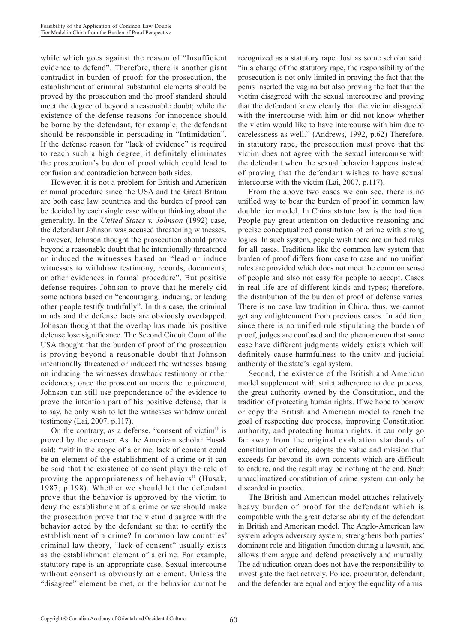while which goes against the reason of "Insufficient evidence to defend". Therefore, there is another giant contradict in burden of proof: for the prosecution, the establishment of criminal substantial elements should be proved by the prosecution and the proof standard should meet the degree of beyond a reasonable doubt; while the existence of the defense reasons for innocence should be borne by the defendant, for example, the defendant should be responsible in persuading in "Intimidation". If the defense reason for "lack of evidence" is required to reach such a high degree, it definitely eliminates the prosecution's burden of proof which could lead to confusion and contradiction between both sides.

However, it is not a problem for British and American criminal procedure since the USA and the Great Britain are both case law countries and the burden of proof can be decided by each single case without thinking about the generality. In the *United States v. Johnson* (1992) case, the defendant Johnson was accused threatening witnesses. However, Johnson thought the prosecution should prove beyond a reasonable doubt that he intentionally threatened or induced the witnesses based on "lead or induce witnesses to withdraw testimony, records, documents, or other evidences in formal procedure". But positive defense requires Johnson to prove that he merely did some actions based on "encouraging, inducing, or leading other people testify truthfully". In this case, the criminal minds and the defense facts are obviously overlapped. Johnson thought that the overlap has made his positive defense lose significance. The Second Circuit Court of the USA thought that the burden of proof of the prosecution is proving beyond a reasonable doubt that Johnson intentionally threatened or induced the witnesses basing on inducing the witnesses drawback testimony or other evidences; once the prosecution meets the requirement, Johnson can still use preponderance of the evidence to prove the intention part of his positive defense, that is to say, he only wish to let the witnesses withdraw unreal testimony (Lai, 2007, p.117).

On the contrary, as a defense, "consent of victim" is proved by the accuser. As the American scholar Husak said: "within the scope of a crime, lack of consent could be an element of the establishment of a crime or it can be said that the existence of consent plays the role of proving the appropriateness of behaviors" (Husak, 1987, p.198). Whether we should let the defendant prove that the behavior is approved by the victim to deny the establishment of a crime or we should make the prosecution prove that the victim disagree with the behavior acted by the defendant so that to certify the establishment of a crime? In common law countries' criminal law theory, "lack of consent" usually exists as the establishment element of a crime. For example, statutory rape is an appropriate case. Sexual intercourse without consent is obviously an element. Unless the "disagree" element be met, or the behavior cannot be recognized as a statutory rape. Just as some scholar said: "in a charge of the statutory rape, the responsibility of the prosecution is not only limited in proving the fact that the penis inserted the vagina but also proving the fact that the victim disagreed with the sexual intercourse and proving that the defendant knew clearly that the victim disagreed with the intercourse with him or did not know whether the victim would like to have intercourse with him due to carelessness as well." (Andrews, 1992, p.62) Therefore, in statutory rape, the prosecution must prove that the victim does not agree with the sexual intercourse with the defendant when the sexual behavior happens instead of proving that the defendant wishes to have sexual intercourse with the victim (Lai, 2007, p.117).

From the above two cases we can see, there is no unified way to bear the burden of proof in common law double tier model. In China statute law is the tradition. People pay great attention on deductive reasoning and precise conceptualized constitution of crime with strong logics. In such system, people wish there are unified rules for all cases. Traditions like the common law system that burden of proof differs from case to case and no unified rules are provided which does not meet the common sense of people and also not easy for people to accept. Cases in real life are of different kinds and types; therefore, the distribution of the burden of proof of defense varies. There is no case law tradition in China, thus, we cannot get any enlightenment from previous cases. In addition, since there is no unified rule stipulating the burden of proof, judges are confused and the phenomenon that same case have different judgments widely exists which will definitely cause harmfulness to the unity and judicial authority of the state's legal system.

Second, the existence of the British and American model supplement with strict adherence to due process, the great authority owned by the Constitution, and the tradition of protecting human rights. If we hope to borrow or copy the British and American model to reach the goal of respecting due process, improving Constitution authority, and protecting human rights, it can only go far away from the original evaluation standards of constitution of crime, adopts the value and mission that exceeds far beyond its own contents which are difficult to endure, and the result may be nothing at the end. Such unacclimatized constitution of crime system can only be discarded in practice.

The British and American model attaches relatively heavy burden of proof for the defendant which is compatible with the great defense ability of the defendant in British and American model. The Anglo-American law system adopts adversary system, strengthens both parties' dominant role and litigation function during a lawsuit, and allows them argue and defend proactively and mutually. The adjudication organ does not have the responsibility to investigate the fact actively. Police, procurator, defendant, and the defender are equal and enjoy the equality of arms.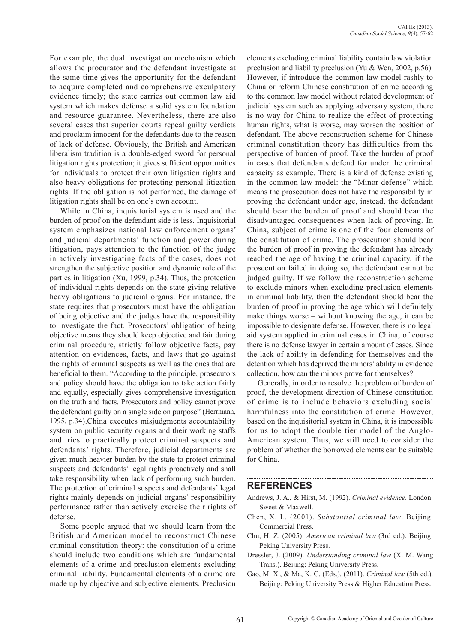For example, the dual investigation mechanism which allows the procurator and the defendant investigate at the same time gives the opportunity for the defendant to acquire completed and comprehensive exculpatory evidence timely; the state carries out common law aid system which makes defense a solid system foundation and resource guarantee. Nevertheless, there are also several cases that superior courts repeal guilty verdicts and proclaim innocent for the defendants due to the reason of lack of defense. Obviously, the British and American liberalism tradition is a double-edged sword for personal litigation rights protection; it gives sufficient opportunities for individuals to protect their own litigation rights and also heavy obligations for protecting personal litigation rights. If the obligation is not performed, the damage of litigation rights shall be on one's own account.

While in China, inquisitorial system is used and the burden of proof on the defendant side is less. Inquisitorial system emphasizes national law enforcement organs' and judicial departments' function and power during litigation, pays attention to the function of the judge in actively investigating facts of the cases, does not strengthen the subjective position and dynamic role of the parties in litigation (Xu, 1999, p.34). Thus, the protection of individual rights depends on the state giving relative heavy obligations to judicial organs. For instance, the state requires that prosecutors must have the obligation of being objective and the judges have the responsibility to investigate the fact. Prosecutors' obligation of being objective means they should keep objective and fair during criminal procedure, strictly follow objective facts, pay attention on evidences, facts, and laws that go against the rights of criminal suspects as well as the ones that are beneficial to them. "According to the principle, prosecutors and policy should have the obligation to take action fairly and equally, especially gives comprehensive investigation on the truth and facts. Prosecutors and policy cannot prove the defendant guilty on a single side on purpose" (Herrmann, 1995, p.34).China executes misjudgments accountability system on public security organs and their working staffs and tries to practically protect criminal suspects and defendants' rights. Therefore, judicial departments are given much heavier burden by the state to protect criminal suspects and defendants' legal rights proactively and shall take responsibility when lack of performing such burden. The protection of criminal suspects and defendants' legal rights mainly depends on judicial organs' responsibility performance rather than actively exercise their rights of defense.

Some people argued that we should learn from the British and American model to reconstruct Chinese criminal constitution theory: the constitution of a crime should include two conditions which are fundamental elements of a crime and preclusion elements excluding criminal liability. Fundamental elements of a crime are made up by objective and subjective elements. Preclusion elements excluding criminal liability contain law violation preclusion and liability preclusion (Yu & Wen, 2002, p.56). However, if introduce the common law model rashly to China or reform Chinese constitution of crime according to the common law model without related development of judicial system such as applying adversary system, there is no way for China to realize the effect of protecting human rights, what is worse, may worsen the position of defendant. The above reconstruction scheme for Chinese criminal constitution theory has difficulties from the perspective of burden of proof. Take the burden of proof in cases that defendants defend for under the criminal capacity as example. There is a kind of defense existing in the common law model: the "Minor defense" which means the prosecution does not have the responsibility in proving the defendant under age, instead, the defendant should bear the burden of proof and should bear the disadvantaged consequences when lack of proving. In China, subject of crime is one of the four elements of the constitution of crime. The prosecution should bear the burden of proof in proving the defendant has already reached the age of having the criminal capacity, if the prosecution failed in doing so, the defendant cannot be judged guilty. If we follow the reconstruction scheme to exclude minors when excluding preclusion elements in criminal liability, then the defendant should bear the burden of proof in proving the age which will definitely make things worse – without knowing the age, it can be impossible to designate defense. However, there is no legal aid system applied in criminal cases in China, of course there is no defense lawyer in certain amount of cases. Since the lack of ability in defending for themselves and the detention which has deprived the minors' ability in evidence collection, how can the minors prove for themselves?

Generally, in order to resolve the problem of burden of proof, the development direction of Chinese constitution of crime is to include behaviors excluding social harmfulness into the constitution of crime. However, based on the inquisitorial system in China, it is impossible for us to adopt the double tier model of the Anglo-American system. Thus, we still need to consider the problem of whether the borrowed elements can be suitable for China.

#### **REFERENCES**

Andrews, J. A., & Hirst, M. (1992). *Criminal evidence*. London: Sweet & Maxwell.

- Chen, X. L. (2001). *Substantial criminal law*. Beijing: Commercial Press.
- Chu, H. Z. (2005). *American criminal law* (3rd ed.). Beijing: Peking University Press.
- Dressler, J. (2009). *Understanding criminal law* (X. M. Wang Trans.). Beijing: Peking University Press.
- Gao, M. X., & Ma, K. C. (Eds.). (2011). *Criminal law* (5th ed.). Beijing: Peking University Press & Higher Education Press.